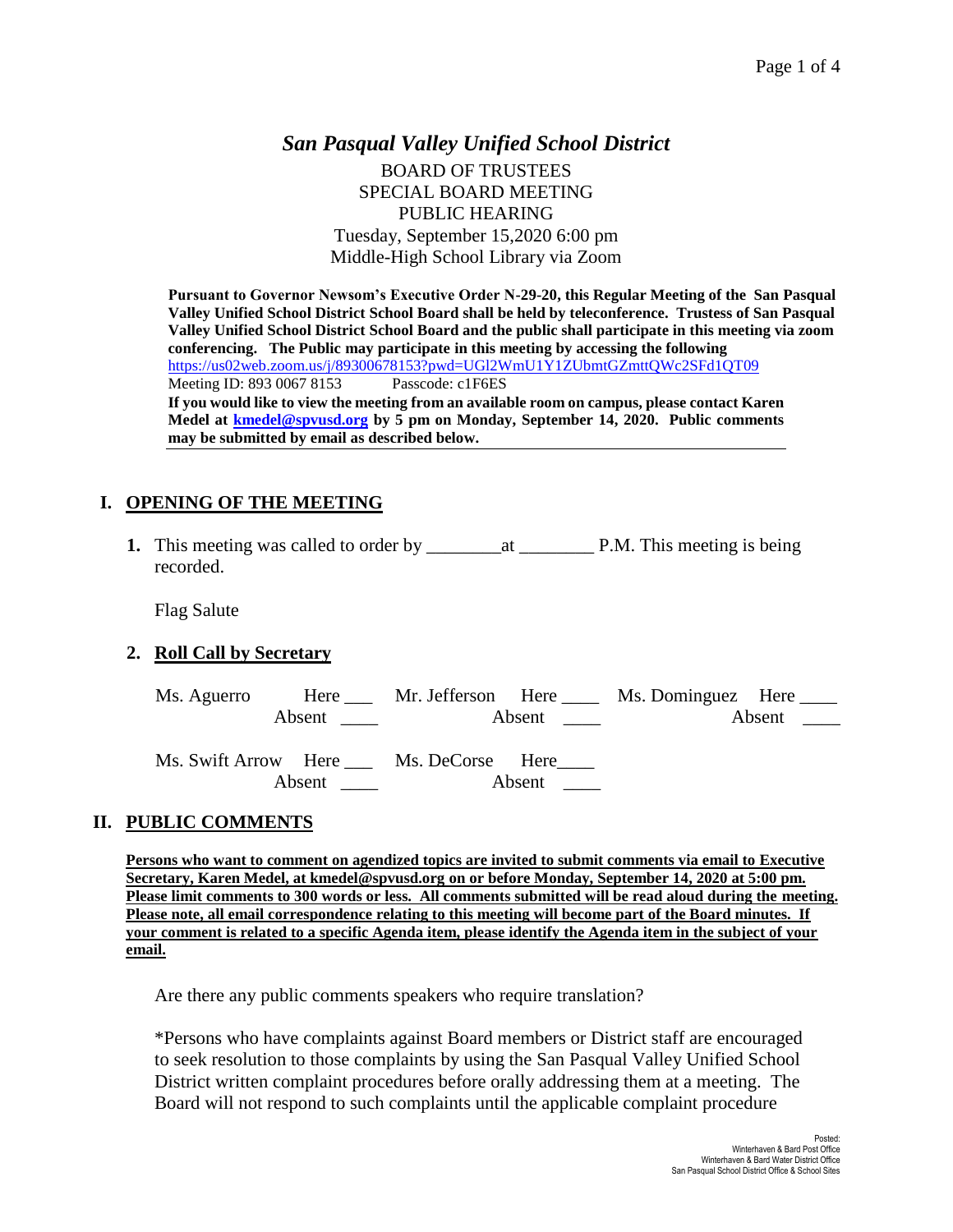## *San Pasqual Valley Unified School District* BOARD OF TRUSTEES SPECIAL BOARD MEETING PUBLIC HEARING Tuesday, September 15,2020 6:00 pm Middle-High School Library via Zoom

**Pursuant to Governor Newsom's Executive Order N-29-20, this Regular Meeting of the San Pasqual Valley Unified School District School Board shall be held by teleconference. Trustess of San Pasqual Valley Unified School District School Board and the public shall participate in this meeting via zoom conferencing. The Public may participate in this meeting by accessing the following**  <https://us02web.zoom.us/j/89300678153?pwd=UGl2WmU1Y1ZUbmtGZmttQWc2SFd1QT09> Meeting ID: 893 0067 8153 Passcode: c1F6ES **If you would like to view the meeting from an available room on campus, please contact Karen Medel at [kmedel@spvusd.org](mailto:kmedel@spvusd.org) by 5 pm on Monday, September 14, 2020. Public comments may be submitted by email as described below.** 

# **I. OPENING OF THE MEETING**

**1.** This meeting was called to order by \_\_\_\_\_\_\_\_at \_\_\_\_\_\_\_\_ P.M. This meeting is being recorded.

Flag Salute

## **2. Roll Call by Secretary**

|               |                                       |        | Ms. Aguerro Here ___ Mr. Jefferson Here ____ Ms. Dominguez Here ____ |  |
|---------------|---------------------------------------|--------|----------------------------------------------------------------------|--|
| <b>Absent</b> | <b>Absent</b>                         |        |                                                                      |  |
| Absent        | Ms. Swift Arrow Here Ms. DeCorse Here | Absent |                                                                      |  |

## **II. PUBLIC COMMENTS**

**Persons who want to comment on agendized topics are invited to submit comments via email to Executive Secretary, Karen Medel, at kmedel@spvusd.org on or before Monday, September 14, 2020 at 5:00 pm. Please limit comments to 300 words or less. All comments submitted will be read aloud during the meeting. Please note, all email correspondence relating to this meeting will become part of the Board minutes. If your comment is related to a specific Agenda item, please identify the Agenda item in the subject of your email.**

Are there any public comments speakers who require translation?

\*Persons who have complaints against Board members or District staff are encouraged to seek resolution to those complaints by using the San Pasqual Valley Unified School District written complaint procedures before orally addressing them at a meeting. The Board will not respond to such complaints until the applicable complaint procedure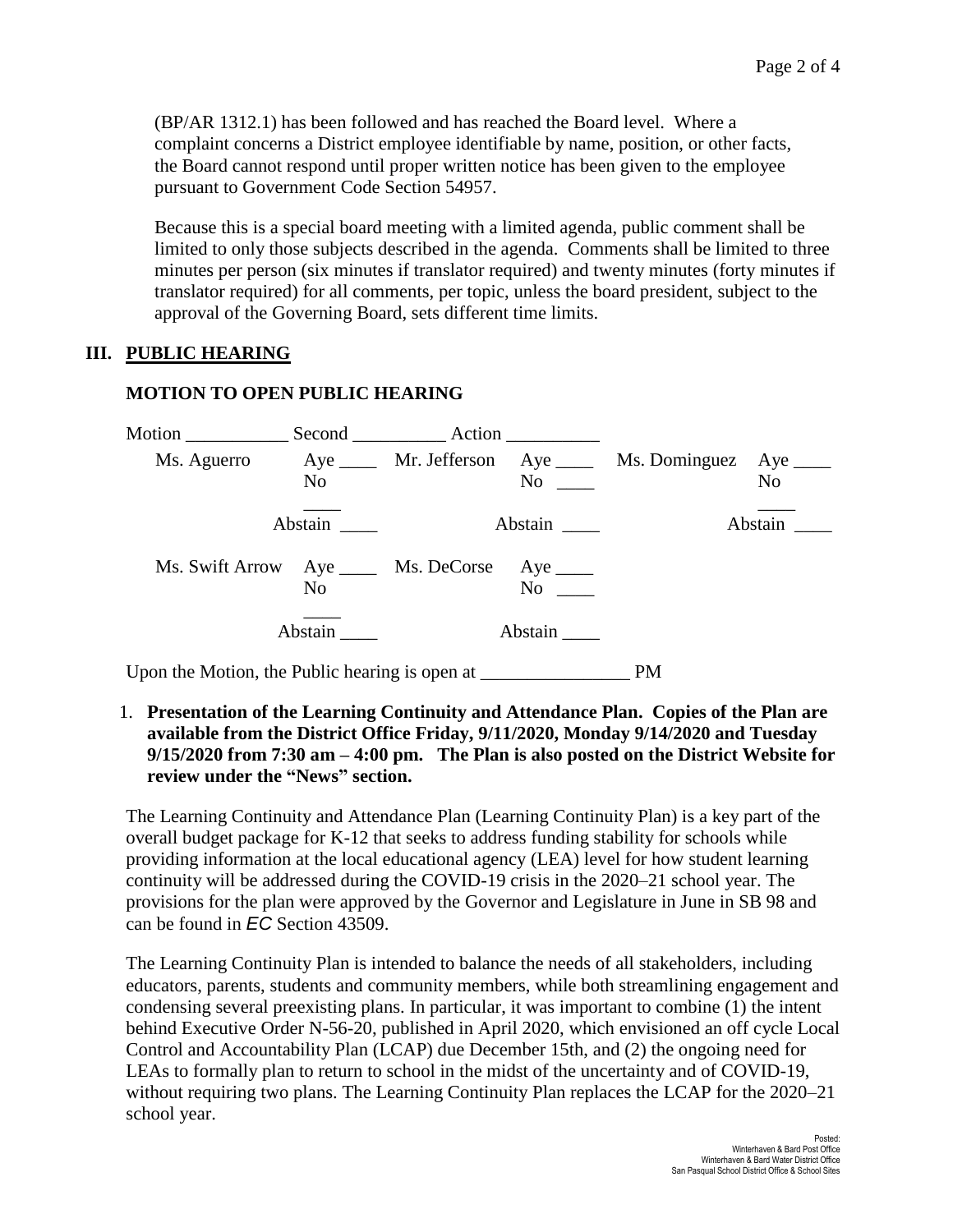(BP/AR 1312.1) has been followed and has reached the Board level. Where a complaint concerns a District employee identifiable by name, position, or other facts, the Board cannot respond until proper written notice has been given to the employee pursuant to Government Code Section 54957.

Because this is a special board meeting with a limited agenda, public comment shall be limited to only those subjects described in the agenda. Comments shall be limited to three minutes per person (six minutes if translator required) and twenty minutes (forty minutes if translator required) for all comments, per topic, unless the board president, subject to the approval of the Governing Board, sets different time limits.

#### **III. PUBLIC HEARING**

#### **MOTION TO OPEN PUBLIC HEARING**

| Motion Second Action |                |                                                |         |                                                         |                |
|----------------------|----------------|------------------------------------------------|---------|---------------------------------------------------------|----------------|
| Ms. Aguerro          | N <sub>0</sub> |                                                | No      | Aye _____ Mr. Jefferson Aye ____ Ms. Dominguez Aye ____ | N <sub>o</sub> |
|                      | Abstain        |                                                | Abstain |                                                         | Abstain        |
|                      | N <sub>0</sub> | Ms. Swift Arrow Aye _____ Ms. DeCorse Aye ____ | No      |                                                         |                |
|                      | Abstain        |                                                | Abstain |                                                         |                |

Upon the Motion, the Public hearing is open at PM

1. **Presentation of the Learning Continuity and Attendance Plan. Copies of the Plan are available from the District Office Friday, 9/11/2020, Monday 9/14/2020 and Tuesday 9/15/2020 from 7:30 am – 4:00 pm. The Plan is also posted on the District Website for review under the "News" section.** 

The Learning Continuity and Attendance Plan (Learning Continuity Plan) is a key part of the overall budget package for K-12 that seeks to address funding stability for schools while providing information at the local educational agency (LEA) level for how student learning continuity will be addressed during the COVID-19 crisis in the 2020–21 school year. The provisions for the plan were approved by the Governor and Legislature in June in SB 98 and can be found in *EC* Section 43509.

The Learning Continuity Plan is intended to balance the needs of all stakeholders, including educators, parents, students and community members, while both streamlining engagement and condensing several preexisting plans. In particular, it was important to combine (1) the intent behind Executive Order N-56-20, published in April 2020, which envisioned an off cycle Local Control and Accountability Plan (LCAP) due December 15th, and (2) the ongoing need for LEAs to formally plan to return to school in the midst of the uncertainty and of COVID-19, without requiring two plans. The Learning Continuity Plan replaces the LCAP for the 2020–21 school year.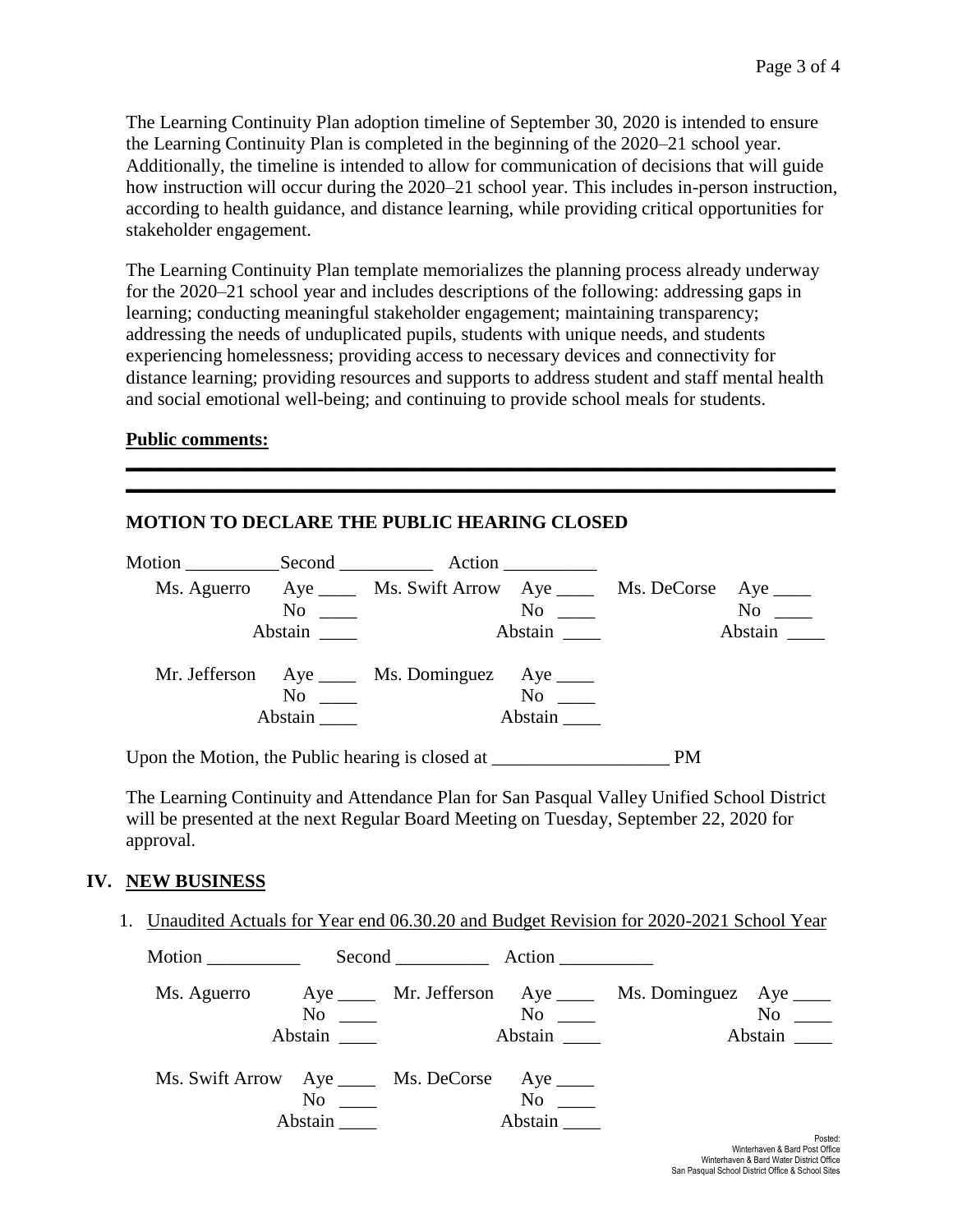The Learning Continuity Plan adoption timeline of September 30, 2020 is intended to ensure the Learning Continuity Plan is completed in the beginning of the 2020–21 school year. Additionally, the timeline is intended to allow for communication of decisions that will guide how instruction will occur during the 2020–21 school year. This includes in-person instruction, according to health guidance, and distance learning, while providing critical opportunities for stakeholder engagement.

The Learning Continuity Plan template memorializes the planning process already underway for the 2020–21 school year and includes descriptions of the following: addressing gaps in learning; conducting meaningful stakeholder engagement; maintaining transparency; addressing the needs of unduplicated pupils, students with unique needs, and students experiencing homelessness; providing access to necessary devices and connectivity for distance learning; providing resources and supports to address student and staff mental health and social emotional well-being; and continuing to provide school meals for students.

**\_\_\_\_\_\_\_\_\_\_\_\_\_\_\_\_\_\_\_\_\_\_\_\_\_\_\_\_\_\_\_\_\_\_\_\_\_\_\_\_\_\_\_\_\_\_\_\_\_\_\_\_\_\_\_\_\_\_\_\_\_\_\_\_\_\_\_\_\_\_\_\_\_\_\_\_ \_\_\_\_\_\_\_\_\_\_\_\_\_\_\_\_\_\_\_\_\_\_\_\_\_\_\_\_\_\_\_\_\_\_\_\_\_\_\_\_\_\_\_\_\_\_\_\_\_\_\_\_\_\_\_\_\_\_\_\_\_\_\_\_\_\_\_\_\_\_\_\_\_\_\_\_**

### **Public comments:**

### **MOTION TO DECLARE THE PUBLIC HEARING CLOSED**

|                                                                                                                                                                                                                                | Motion Second Action                                    |                                                                                                                                                                                                                                |                                                                                                                                                                                                                               |
|--------------------------------------------------------------------------------------------------------------------------------------------------------------------------------------------------------------------------------|---------------------------------------------------------|--------------------------------------------------------------------------------------------------------------------------------------------------------------------------------------------------------------------------------|-------------------------------------------------------------------------------------------------------------------------------------------------------------------------------------------------------------------------------|
|                                                                                                                                                                                                                                | Ms. Aguerro Aye Ms. Swift Arrow Aye Ms. DeCorse Aye 16. |                                                                                                                                                                                                                                |                                                                                                                                                                                                                               |
| $\rm No$                                                                                                                                                                                                                       |                                                         | No new contract the North State of the North State and State and State and State and State and State and State and State and State and State and State and State and State and State and State and State and State and State a | No note that the set of the set of the set of the set of the set of the set of the set of the set of the set of the set of the set of the set of the set of the set of the set of the set of the set of the set of the set of |
|                                                                                                                                                                                                                                |                                                         | Abstain                                                                                                                                                                                                                        | Abstain                                                                                                                                                                                                                       |
|                                                                                                                                                                                                                                | Mr. Jefferson Aye _____ Ms. Dominguez Aye _____         |                                                                                                                                                                                                                                |                                                                                                                                                                                                                               |
| No and the same state of the state of the state of the state of the state of the state of the state of the state of the state of the state of the state of the state of the state of the state of the state of the state of th |                                                         | No                                                                                                                                                                                                                             |                                                                                                                                                                                                                               |
| Abstain                                                                                                                                                                                                                        |                                                         | Abstain                                                                                                                                                                                                                        |                                                                                                                                                                                                                               |
|                                                                                                                                                                                                                                |                                                         |                                                                                                                                                                                                                                |                                                                                                                                                                                                                               |

Upon the Motion, the Public hearing is closed at PM

The Learning Continuity and Attendance Plan for San Pasqual Valley Unified School District will be presented at the next Regular Board Meeting on Tuesday, September 22, 2020 for approval.

### **IV. NEW BUSINESS**

1. Unaudited Actuals for Year end 06.30.20 and Budget Revision for 2020-2021 School Year

| Motion $\frac{1}{\sqrt{1-\frac{1}{2}}\cdot\frac{1}{\sqrt{1-\frac{1}{2}}}}$ |         | Second Action          |                                           |                                                                    |                |
|----------------------------------------------------------------------------|---------|------------------------|-------------------------------------------|--------------------------------------------------------------------|----------------|
|                                                                            |         | $\overline{\text{No}}$ | $\overline{N}$ o $\overline{\phantom{0}}$ | Ms. Aguerro Aye ____ Mr. Jefferson Aye ____ Ms. Dominguez Aye ____ | N <sub>0</sub> |
|                                                                            | Abstain |                        | Abstain                                   |                                                                    | Abstain        |
| Ms. Swift Arrow Aye _____ Ms. DeCorse Aye ____                             |         |                        |                                           |                                                                    |                |
|                                                                            | No      |                        | $No \t —$                                 |                                                                    |                |
|                                                                            | Abstain |                        | Abstain                                   |                                                                    |                |
|                                                                            |         |                        |                                           |                                                                    | Dooter         |